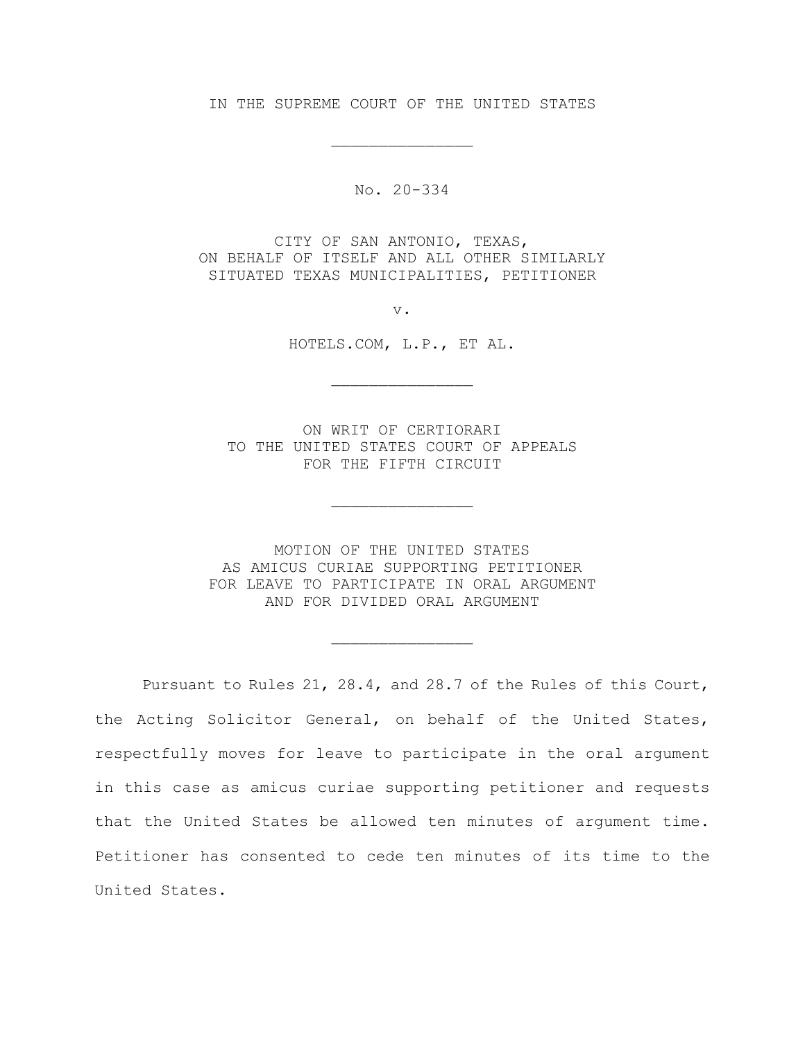IN THE SUPREME COURT OF THE UNITED STATES

\_\_\_\_\_\_\_\_\_\_\_\_\_\_\_

No. 20-334

CITY OF SAN ANTONIO, TEXAS, ON BEHALF OF ITSELF AND ALL OTHER SIMILARLY SITUATED TEXAS MUNICIPALITIES, PETITIONER

v.

HOTELS.COM, L.P., ET AL.

\_\_\_\_\_\_\_\_\_\_\_\_\_\_\_

ON WRIT OF CERTIORARI TO THE UNITED STATES COURT OF APPEALS FOR THE FIFTH CIRCUIT

\_\_\_\_\_\_\_\_\_\_\_\_\_\_\_

MOTION OF THE UNITED STATES AS AMICUS CURIAE SUPPORTING PETITIONER FOR LEAVE TO PARTICIPATE IN ORAL ARGUMENT AND FOR DIVIDED ORAL ARGUMENT

\_\_\_\_\_\_\_\_\_\_\_\_\_\_\_

Pursuant to Rules 21, 28.4, and 28.7 of the Rules of this Court, the Acting Solicitor General, on behalf of the United States, respectfully moves for leave to participate in the oral argument in this case as amicus curiae supporting petitioner and requests that the United States be allowed ten minutes of argument time. Petitioner has consented to cede ten minutes of its time to the United States.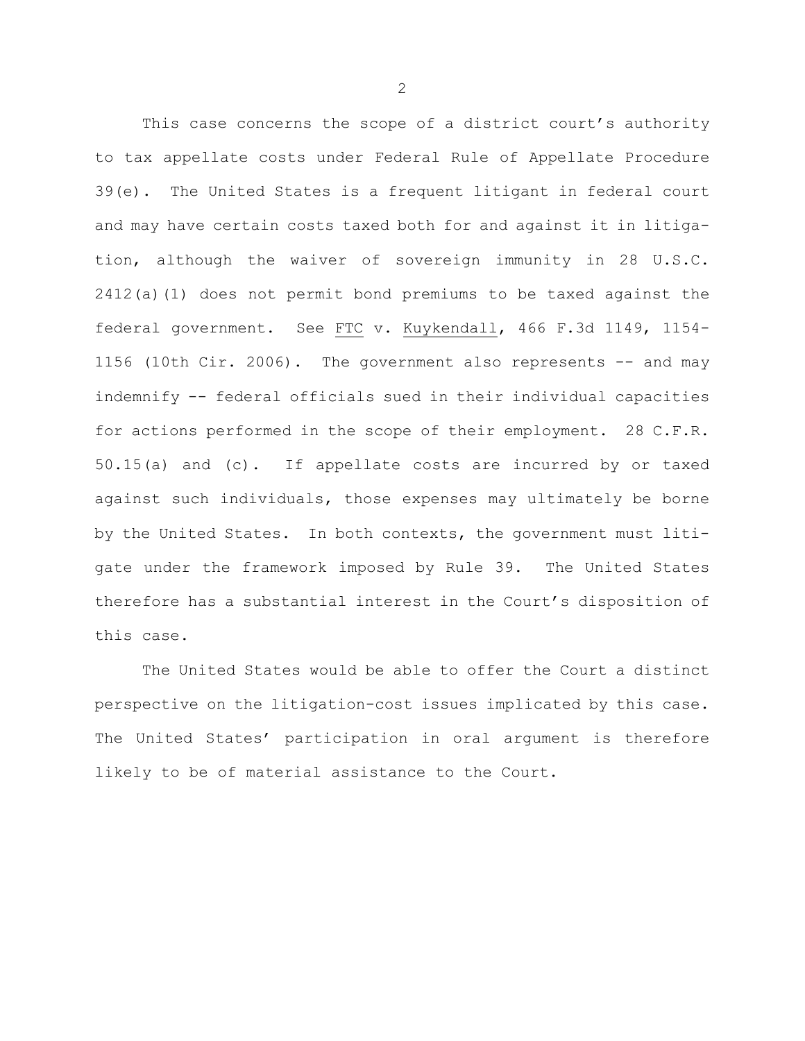This case concerns the scope of a district court's authority to tax appellate costs under Federal Rule of Appellate Procedure 39(e). The United States is a frequent litigant in federal court and may have certain costs taxed both for and against it in litigation, although the waiver of sovereign immunity in 28 U.S.C. 2412(a)(1) does not permit bond premiums to be taxed against the federal government. See FTC v. Kuykendall, 466 F.3d 1149, 1154- 1156 (10th Cir. 2006). The government also represents -- and may indemnify -- federal officials sued in their individual capacities for actions performed in the scope of their employment. 28 C.F.R. 50.15(a) and (c). If appellate costs are incurred by or taxed against such individuals, those expenses may ultimately be borne by the United States. In both contexts, the government must litigate under the framework imposed by Rule 39. The United States therefore has a substantial interest in the Court's disposition of this case.

The United States would be able to offer the Court a distinct perspective on the litigation-cost issues implicated by this case. The United States' participation in oral argument is therefore likely to be of material assistance to the Court.

2